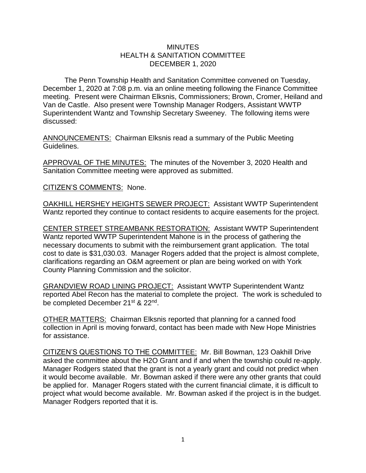## **MINUTES** HEALTH & SANITATION COMMITTEE DECEMBER 1, 2020

The Penn Township Health and Sanitation Committee convened on Tuesday, December 1, 2020 at 7:08 p.m. via an online meeting following the Finance Committee meeting. Present were Chairman Elksnis, Commissioners; Brown, Cromer, Heiland and Van de Castle. Also present were Township Manager Rodgers, Assistant WWTP Superintendent Wantz and Township Secretary Sweeney. The following items were discussed:

ANNOUNCEMENTS: Chairman Elksnis read a summary of the Public Meeting Guidelines.

APPROVAL OF THE MINUTES: The minutes of the November 3, 2020 Health and Sanitation Committee meeting were approved as submitted.

CITIZEN'S COMMENTS: None.

OAKHILL HERSHEY HEIGHTS SEWER PROJECT: Assistant WWTP Superintendent Wantz reported they continue to contact residents to acquire easements for the project.

CENTER STREET STREAMBANK RESTORATION: Assistant WWTP Superintendent Wantz reported WWTP Superintendent Mahone is in the process of gathering the necessary documents to submit with the reimbursement grant application. The total cost to date is \$31,030.03. Manager Rogers added that the project is almost complete, clarifications regarding an O&M agreement or plan are being worked on with York County Planning Commission and the solicitor.

GRANDVIEW ROAD LINING PROJECT: Assistant WWTP Superintendent Wantz reported Abel Recon has the material to complete the project. The work is scheduled to be completed December 21<sup>st</sup> & 22<sup>nd</sup>.

OTHER MATTERS: Chairman Elksnis reported that planning for a canned food collection in April is moving forward, contact has been made with New Hope Ministries for assistance.

CITIZEN'S QUESTIONS TO THE COMMITTEE: Mr. Bill Bowman, 123 Oakhill Drive asked the committee about the H2O Grant and if and when the township could re-apply. Manager Rodgers stated that the grant is not a yearly grant and could not predict when it would become available. Mr. Bowman asked if there were any other grants that could be applied for. Manager Rogers stated with the current financial climate, it is difficult to project what would become available. Mr. Bowman asked if the project is in the budget. Manager Rodgers reported that it is.